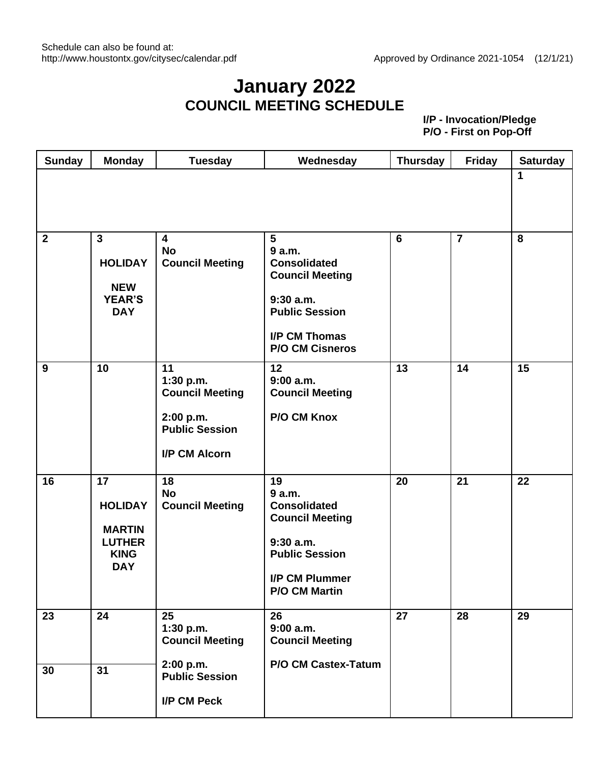#### **January 2022 COUNCIL MEETING SCHEDULE**

| <b>Sunday</b> | <b>Monday</b>                                                                       | <b>Tuesday</b>                                                                                   | Wednesday                                                                                                                                       | <b>Thursday</b> | <b>Friday</b>  | <b>Saturday</b> |
|---------------|-------------------------------------------------------------------------------------|--------------------------------------------------------------------------------------------------|-------------------------------------------------------------------------------------------------------------------------------------------------|-----------------|----------------|-----------------|
|               |                                                                                     |                                                                                                  |                                                                                                                                                 |                 |                | 1               |
| $\mathbf{2}$  | $\mathbf{3}$<br><b>HOLIDAY</b><br><b>NEW</b><br><b>YEAR'S</b><br><b>DAY</b>         | 4<br><b>No</b><br><b>Council Meeting</b>                                                         | 5<br>9 a.m.<br><b>Consolidated</b><br><b>Council Meeting</b><br>$9:30$ a.m.<br><b>Public Session</b><br>I/P CM Thomas<br><b>P/O CM Cisneros</b> | 6               | $\overline{7}$ | 8               |
| 9             | 10                                                                                  | 11<br>1:30 p.m.<br><b>Council Meeting</b><br>2:00 p.m.<br><b>Public Session</b><br>I/P CM Alcorn | 12<br>9:00 a.m.<br><b>Council Meeting</b><br>P/O CM Knox                                                                                        | 13              | 14             | 15              |
| 16            | 17<br><b>HOLIDAY</b><br><b>MARTIN</b><br><b>LUTHER</b><br><b>KING</b><br><b>DAY</b> | 18<br><b>No</b><br><b>Council Meeting</b>                                                        | 19<br>9 a.m.<br><b>Consolidated</b><br><b>Council Meeting</b><br>$9:30$ a.m.<br><b>Public Session</b><br>I/P CM Plummer<br><b>P/O CM Martin</b> | 20              | 21             | 22              |
| 23            | 24                                                                                  | 25<br>1:30 p.m.<br><b>Council Meeting</b>                                                        | 26<br>$9:00$ a.m.<br><b>Council Meeting</b>                                                                                                     | 27              | 28             | 29              |
| 30            | 31                                                                                  | 2:00 p.m.<br><b>Public Session</b><br>I/P CM Peck                                                | P/O CM Castex-Tatum                                                                                                                             |                 |                |                 |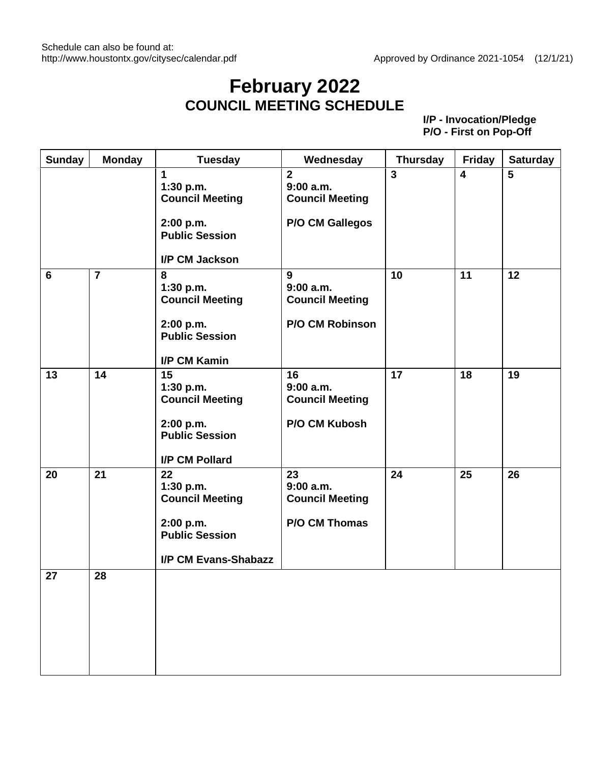#### **February 2022 COUNCIL MEETING SCHEDULE**

| <b>Sunday</b>   | <b>Monday</b>  | <b>Tuesday</b>                                                                                              | Wednesday                                                                      | <b>Thursday</b>         | <b>Friday</b>           | <b>Saturday</b> |
|-----------------|----------------|-------------------------------------------------------------------------------------------------------------|--------------------------------------------------------------------------------|-------------------------|-------------------------|-----------------|
|                 |                | $\mathbf{1}$<br>1:30 p.m.<br><b>Council Meeting</b><br>2:00 p.m.<br><b>Public Session</b><br>I/P CM Jackson | $\overline{2}$<br>9:00a.m.<br><b>Council Meeting</b><br><b>P/O CM Gallegos</b> | $\overline{\mathbf{3}}$ | $\overline{\mathbf{4}}$ | 5               |
| $6\phantom{1}6$ | $\overline{7}$ | 8<br>1:30 p.m.<br><b>Council Meeting</b><br>2:00 p.m.<br><b>Public Session</b><br>I/P CM Kamin              | 9<br>9:00a.m.<br><b>Council Meeting</b><br><b>P/O CM Robinson</b>              | 10                      | 11                      | 12              |
| 13              | 14             | 15<br>1:30 p.m.<br><b>Council Meeting</b><br>2:00 p.m.<br><b>Public Session</b><br>I/P CM Pollard           | 16<br>9:00a.m.<br><b>Council Meeting</b><br>P/O CM Kubosh                      | 17                      | 18                      | 19              |
| 20              | 21             | 22<br>1:30 p.m.<br><b>Council Meeting</b><br>2:00 p.m.<br><b>Public Session</b><br>I/P CM Evans-Shabazz     | 23<br>9:00a.m.<br><b>Council Meeting</b><br><b>P/O CM Thomas</b>               | 24                      | 25                      | 26              |
| 27              | 28             |                                                                                                             |                                                                                |                         |                         |                 |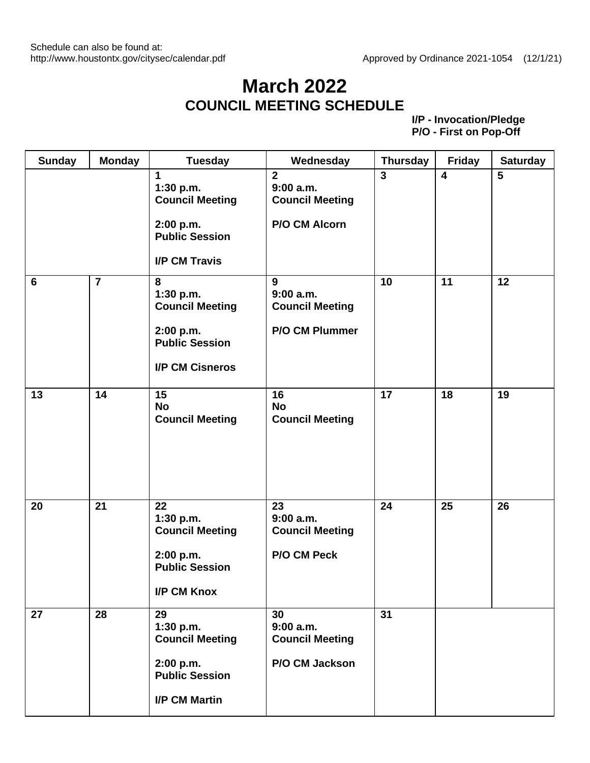# **March 2022 COUNCIL MEETING SCHEDULE**

| <b>Sunday</b> | <b>Monday</b>           | <b>Tuesday</b>                                                                                           | Wednesday                                                              | <b>Thursday</b> | <b>Friday</b>           | <b>Saturday</b> |
|---------------|-------------------------|----------------------------------------------------------------------------------------------------------|------------------------------------------------------------------------|-----------------|-------------------------|-----------------|
|               |                         | 1<br>1:30 p.m.<br><b>Council Meeting</b><br>2:00 p.m.<br><b>Public Session</b><br><b>I/P CM Travis</b>   | $\overline{2}$<br>9:00 a.m.<br><b>Council Meeting</b><br>P/O CM Alcorn | $\overline{3}$  | $\overline{\mathbf{4}}$ | $5\phantom{1}$  |
| 6             | $\overline{\mathbf{7}}$ | 8<br>1:30 p.m.<br><b>Council Meeting</b><br>2:00 p.m.<br><b>Public Session</b><br><b>I/P CM Cisneros</b> | 9<br>$9:00$ a.m.<br><b>Council Meeting</b><br><b>P/O CM Plummer</b>    | 10              | 11                      | 12              |
| 13            | 14                      | 15<br><b>No</b><br><b>Council Meeting</b>                                                                | 16<br><b>No</b><br><b>Council Meeting</b>                              | 17              | 18                      | 19              |
| 20            | 21                      | 22<br>1:30 p.m.<br><b>Council Meeting</b><br>2:00 p.m.<br><b>Public Session</b><br><b>I/P CM Knox</b>    | 23<br>$9:00$ a.m.<br><b>Council Meeting</b><br>P/O CM Peck             | 24              | 25                      | 26              |
| 27            | 28                      | 29<br>1:30 p.m.<br><b>Council Meeting</b><br>2:00 p.m.<br><b>Public Session</b><br><b>I/P CM Martin</b>  | 30<br>9:00a.m.<br><b>Council Meeting</b><br>P/O CM Jackson             | 31              |                         |                 |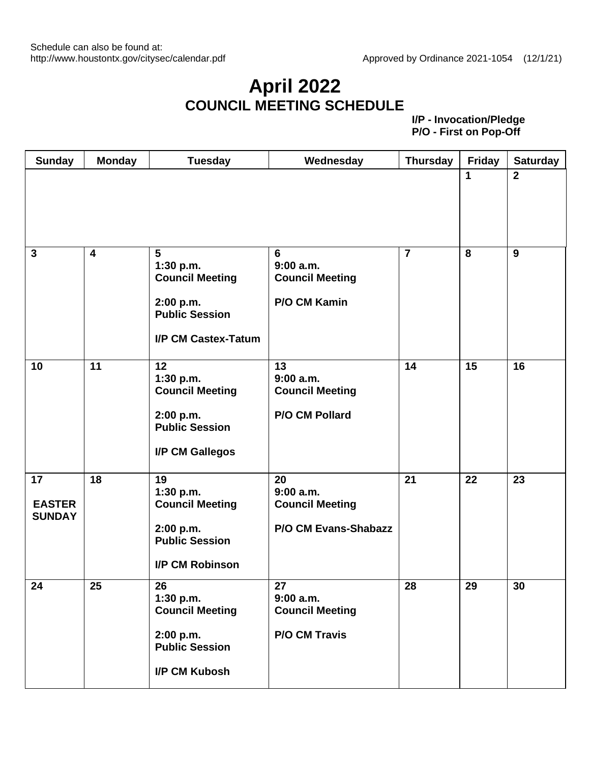### **April 2022 COUNCIL MEETING SCHEDULE**

| <b>Sunday</b>                        | <b>Monday</b>           | <b>Tuesday</b>                                                                                                            | Wednesday                                                                  | <b>Thursday</b> | <b>Friday</b> | <b>Saturday</b> |
|--------------------------------------|-------------------------|---------------------------------------------------------------------------------------------------------------------------|----------------------------------------------------------------------------|-----------------|---------------|-----------------|
|                                      |                         |                                                                                                                           |                                                                            |                 | 1             | $\overline{2}$  |
| $\mathbf{3}$                         | $\overline{\mathbf{4}}$ | $5\phantom{1}$<br>1:30 p.m.<br><b>Council Meeting</b><br>2:00 p.m.<br><b>Public Session</b><br><b>I/P CM Castex-Tatum</b> | 6<br>9:00 a.m.<br><b>Council Meeting</b><br>P/O CM Kamin                   | $\overline{7}$  | 8             | 9               |
| 10                                   | 11                      | 12<br>1:30 p.m.<br><b>Council Meeting</b><br>2:00 p.m.<br><b>Public Session</b><br>I/P CM Gallegos                        | 13<br>$9:00$ a.m.<br><b>Council Meeting</b><br><b>P/O CM Pollard</b>       | 14              | 15            | 16              |
| 17<br><b>EASTER</b><br><b>SUNDAY</b> | 18                      | 19<br>1:30 p.m.<br><b>Council Meeting</b><br>2:00 p.m.<br><b>Public Session</b><br><b>I/P CM Robinson</b>                 | 20<br>$9:00$ a.m.<br><b>Council Meeting</b><br><b>P/O CM Evans-Shabazz</b> | 21              | 22            | 23              |
| 24                                   | 25                      | 26<br>1:30 p.m.<br><b>Council Meeting</b><br>2:00 p.m.<br><b>Public Session</b><br>I/P CM Kubosh                          | 27<br>$9:00$ a.m.<br><b>Council Meeting</b><br><b>P/O CM Travis</b>        | 28              | 29            | 30              |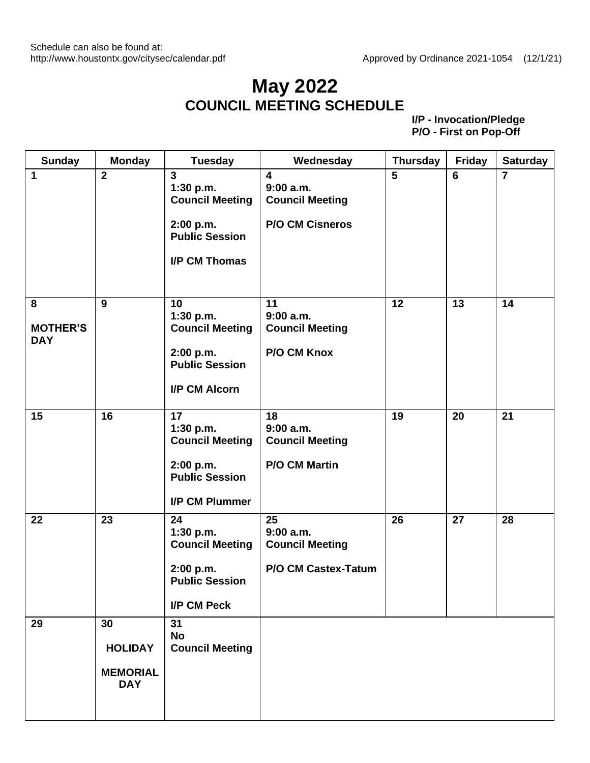#### **May 2022 COUNCIL MEETING SCHEDULE**

| <b>Sunday</b>                      | <b>Monday</b>                                         | <b>Tuesday</b>                                                                                               | Wednesday                                                                                | <b>Thursday</b> | <b>Friday</b> | <b>Saturday</b> |
|------------------------------------|-------------------------------------------------------|--------------------------------------------------------------------------------------------------------------|------------------------------------------------------------------------------------------|-----------------|---------------|-----------------|
| 1                                  | $\overline{2}$                                        | $\overline{3}$<br>1:30 p.m.<br><b>Council Meeting</b><br>2:00 p.m.<br><b>Public Session</b><br>I/P CM Thomas | $\overline{\mathbf{4}}$<br>9:00 a.m.<br><b>Council Meeting</b><br><b>P/O CM Cisneros</b> | 5               | 6             | $\overline{7}$  |
| 8<br><b>MOTHER'S</b><br><b>DAY</b> | 9                                                     | 10<br>1:30 p.m.<br><b>Council Meeting</b><br>2:00 p.m.<br><b>Public Session</b><br>I/P CM Alcorn             | 11<br>9:00 a.m.<br><b>Council Meeting</b><br>P/O CM Knox                                 | 12              | 13            | 14              |
| 15                                 | 16                                                    | 17<br>1:30 p.m.<br><b>Council Meeting</b><br>2:00 p.m.<br><b>Public Session</b><br>I/P CM Plummer            | 18<br>9:00 a.m.<br><b>Council Meeting</b><br><b>P/O CM Martin</b>                        | 19              | 20            | 21              |
| 22                                 | 23                                                    | 24<br>1:30 p.m.<br><b>Council Meeting</b><br>2:00 p.m.<br><b>Public Session</b><br>I/P CM Peck               | 25<br>9:00 a.m.<br><b>Council Meeting</b><br>P/O CM Castex-Tatum                         | 26              | 27            | 28              |
| 29                                 | 30<br><b>HOLIDAY</b><br><b>MEMORIAL</b><br><b>DAY</b> | 31<br><b>No</b><br><b>Council Meeting</b>                                                                    |                                                                                          |                 |               |                 |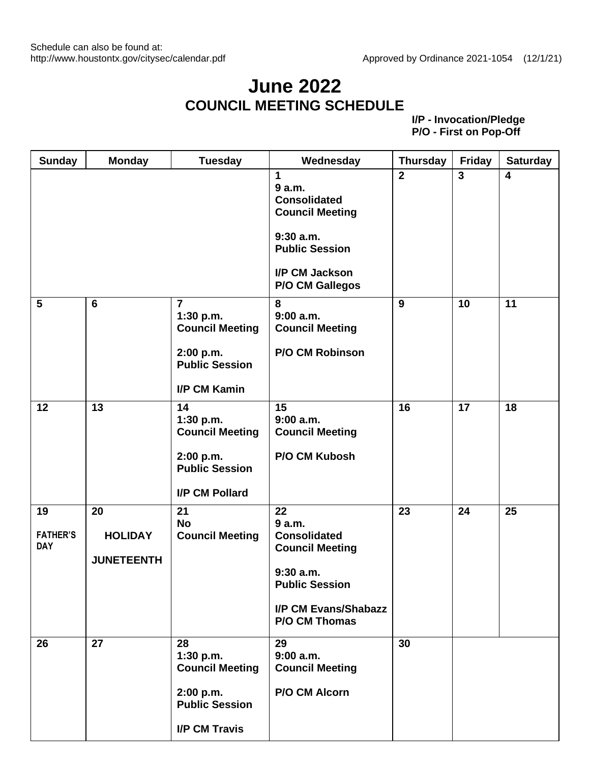## **June 2022 COUNCIL MEETING SCHEDULE**

| <b>Sunday</b>                       | <b>Monday</b>                             | <b>Tuesday</b>                                                                              | Wednesday                                                                                             | <b>Thursday</b> | <b>Friday</b>  | <b>Saturday</b>         |
|-------------------------------------|-------------------------------------------|---------------------------------------------------------------------------------------------|-------------------------------------------------------------------------------------------------------|-----------------|----------------|-------------------------|
|                                     |                                           |                                                                                             | 1<br>9 a.m.<br><b>Consolidated</b><br><b>Council Meeting</b><br>9:30a.m.<br><b>Public Session</b>     | $\overline{2}$  | $\overline{3}$ | $\overline{\mathbf{4}}$ |
|                                     |                                           |                                                                                             | I/P CM Jackson<br><b>P/O CM Gallegos</b>                                                              |                 |                |                         |
| $5\phantom{1}$                      | $6\phantom{1}$                            | $\overline{7}$<br>1:30 p.m.<br><b>Council Meeting</b><br>2:00 p.m.<br><b>Public Session</b> | 8<br>9:00a.m.<br><b>Council Meeting</b><br><b>P/O CM Robinson</b>                                     | 9               | 10             | 11                      |
| 12                                  | 13                                        | <b>I/P CM Kamin</b><br>14<br>1:30 p.m.<br><b>Council Meeting</b>                            | 15<br>9:00 a.m.<br><b>Council Meeting</b>                                                             | 16              | 17             | 18                      |
|                                     |                                           | 2:00 p.m.<br><b>Public Session</b><br>I/P CM Pollard                                        | P/O CM Kubosh                                                                                         |                 |                |                         |
| 19<br><b>FATHER'S</b><br><b>DAY</b> | 20<br><b>HOLIDAY</b><br><b>JUNETEENTH</b> | 21<br><b>No</b><br><b>Council Meeting</b>                                                   | 22<br>9 a.m.<br><b>Consolidated</b><br><b>Council Meeting</b><br>$9:30$ a.m.<br><b>Public Session</b> | 23              | 24             | 25                      |
|                                     |                                           |                                                                                             | I/P CM Evans/Shabazz<br><b>P/O CM Thomas</b>                                                          |                 |                |                         |
| 26                                  | 27                                        | 28<br>1:30 p.m.<br><b>Council Meeting</b>                                                   | 29<br>$9:00$ a.m.<br><b>Council Meeting</b><br>P/O CM Alcorn                                          | 30              |                |                         |
|                                     |                                           | 2:00 p.m.<br><b>Public Session</b><br><b>I/P CM Travis</b>                                  |                                                                                                       |                 |                |                         |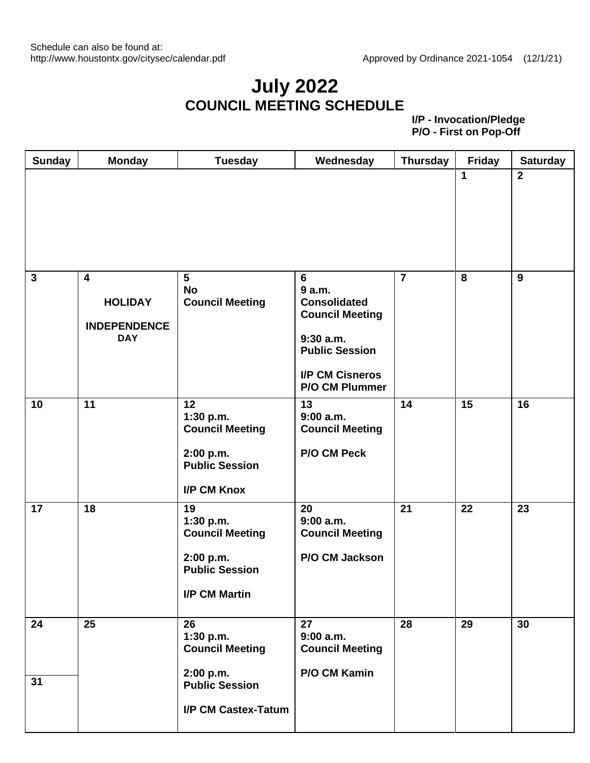#### **July 2022 COUNCIL MEETING SCHEDULE**

|              |                                                                       |                                                                                                         |                                                                                                                                                         |                |                         | <b>Saturday</b> |
|--------------|-----------------------------------------------------------------------|---------------------------------------------------------------------------------------------------------|---------------------------------------------------------------------------------------------------------------------------------------------------------|----------------|-------------------------|-----------------|
|              |                                                                       |                                                                                                         |                                                                                                                                                         |                | $\mathbf{1}$            | $2^{\circ}$     |
| $\mathbf{3}$ | $\overline{4}$<br><b>HOLIDAY</b><br><b>INDEPENDENCE</b><br><b>DAY</b> | $5\phantom{1}$<br><b>No</b><br><b>Council Meeting</b>                                                   | 6<br>9 a.m.<br><b>Consolidated</b><br><b>Council Meeting</b><br>$9:30$ a.m.<br><b>Public Session</b><br><b>I/P CM Cisneros</b><br><b>P/O CM Plummer</b> | $\overline{7}$ | $\overline{\mathbf{8}}$ | 9               |
| 10           | $\overline{11}$                                                       | 12<br>1:30 p.m.<br><b>Council Meeting</b><br>2:00 p.m.<br><b>Public Session</b><br>I/P CM Knox          | 13<br>9:00 a.m.<br><b>Council Meeting</b><br>P/O CM Peck                                                                                                | 14             | 15                      | 16              |
| 17           | 18                                                                    | 19<br>1:30 p.m.<br><b>Council Meeting</b><br>2:00 p.m.<br><b>Public Session</b><br><b>I/P CM Martin</b> | 20<br>9:00a.m.<br><b>Council Meeting</b><br>P/O CM Jackson                                                                                              | 21             | 22                      | 23              |
| 24<br>31     | 25                                                                    | 26<br>1:30 p.m.<br><b>Council Meeting</b><br>2:00 p.m.<br><b>Public Session</b><br>I/P CM Castex-Tatum  | 27<br>9:00a.m.<br><b>Council Meeting</b><br>P/O CM Kamin                                                                                                | 28             | 29                      | 30              |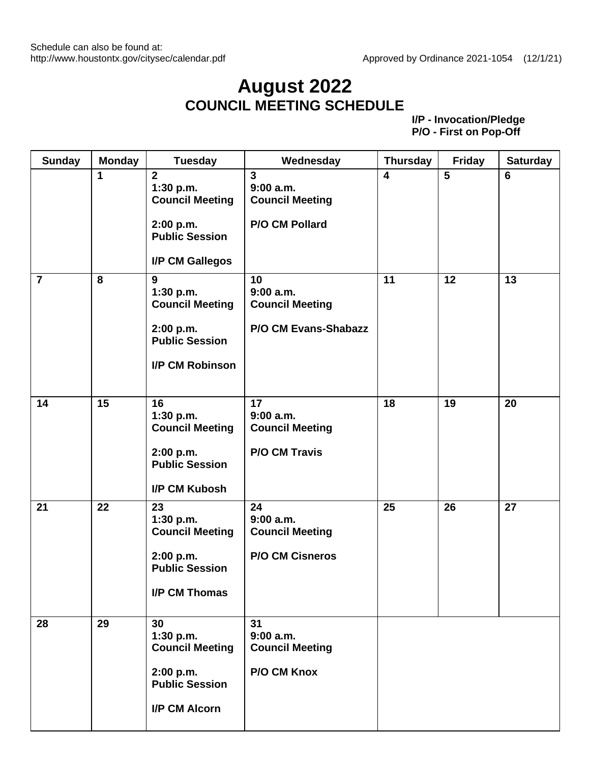#### **August 2022 COUNCIL MEETING SCHEDULE**

| <b>Sunday</b>  | <b>Monday</b> | <b>Tuesday</b>                                                                                                 | Wednesday                                                               | <b>Thursday</b>         | <b>Friday</b>  | <b>Saturday</b> |
|----------------|---------------|----------------------------------------------------------------------------------------------------------------|-------------------------------------------------------------------------|-------------------------|----------------|-----------------|
|                | 1             | $\overline{2}$<br>1:30 p.m.<br><b>Council Meeting</b><br>2:00 p.m.<br><b>Public Session</b><br>I/P CM Gallegos | $\mathbf{3}$<br>$9:00$ a.m.<br><b>Council Meeting</b><br>P/O CM Pollard | $\overline{\mathbf{4}}$ | $5\phantom{1}$ | 6               |
| $\overline{7}$ | 8             | 9<br>1:30 p.m.<br><b>Council Meeting</b><br>2:00 p.m.<br><b>Public Session</b><br>I/P CM Robinson              | 10<br>9:00a.m.<br><b>Council Meeting</b><br>P/O CM Evans-Shabazz        | 11                      | 12             | 13              |
| 14             | 15            | 16<br>1:30 p.m.<br><b>Council Meeting</b><br>2:00 p.m.<br><b>Public Session</b><br>I/P CM Kubosh               | 17<br>9:00 a.m.<br><b>Council Meeting</b><br><b>P/O CM Travis</b>       | 18                      | 19             | 20              |
| 21             | 22            | 23<br>1:30 p.m.<br><b>Council Meeting</b><br>2:00 p.m.<br><b>Public Session</b><br><b>I/P CM Thomas</b>        | 24<br>$9:00$ a.m.<br><b>Council Meeting</b><br><b>P/O CM Cisneros</b>   | 25                      | 26             | 27              |
| 28             | 29            | 30<br>1:30 p.m.<br><b>Council Meeting</b><br>2:00 p.m.<br><b>Public Session</b><br>I/P CM Alcorn               | 31<br>$9:00$ a.m.<br><b>Council Meeting</b><br>P/O CM Knox              |                         |                |                 |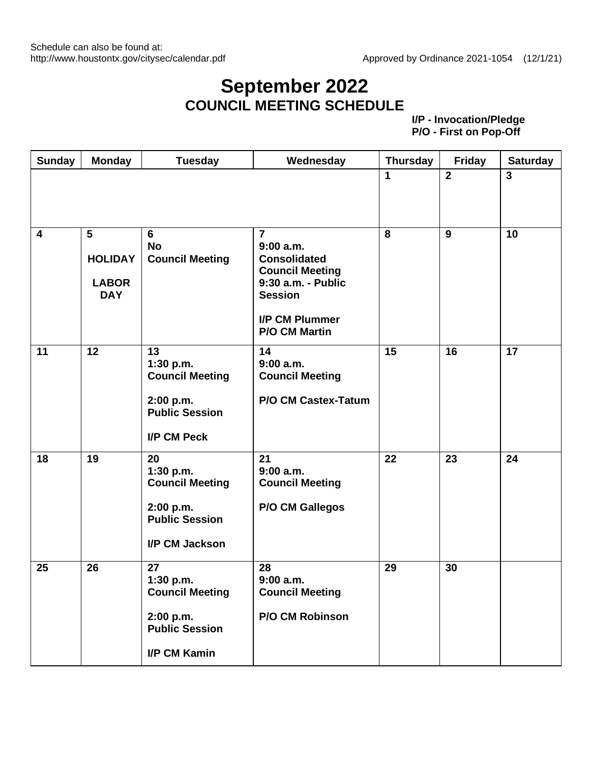#### **September 2022 COUNCIL MEETING SCHEDULE**

| Sunday                  | <b>Monday</b>                                     | <b>Tuesday</b>                                                                                    | Wednesday                                                                                                                                                               | <b>Thursday</b> | <b>Friday</b>  | <b>Saturday</b> |
|-------------------------|---------------------------------------------------|---------------------------------------------------------------------------------------------------|-------------------------------------------------------------------------------------------------------------------------------------------------------------------------|-----------------|----------------|-----------------|
|                         |                                                   |                                                                                                   |                                                                                                                                                                         | 1               | $\overline{2}$ | $\overline{3}$  |
| $\overline{\mathbf{4}}$ | 5<br><b>HOLIDAY</b><br><b>LABOR</b><br><b>DAY</b> | 6<br><b>No</b><br><b>Council Meeting</b>                                                          | $\overline{7}$<br>$9:00$ a.m.<br><b>Consolidated</b><br><b>Council Meeting</b><br>9:30 a.m. - Public<br><b>Session</b><br><b>I/P CM Plummer</b><br><b>P/O CM Martin</b> | 8               | 9              | 10              |
| 11                      | 12                                                | 13<br>1:30 p.m.<br><b>Council Meeting</b><br>2:00 p.m.<br><b>Public Session</b><br>I/P CM Peck    | 14<br>9:00 a.m.<br><b>Council Meeting</b><br><b>P/O CM Castex-Tatum</b>                                                                                                 | 15              | 16             | 17              |
| 18                      | 19                                                | 20<br>1:30 p.m.<br><b>Council Meeting</b><br>2:00 p.m.<br><b>Public Session</b><br>I/P CM Jackson | 21<br>$9:00$ a.m.<br><b>Council Meeting</b><br><b>P/O CM Gallegos</b>                                                                                                   | 22              | 23             | 24              |
| 25                      | 26                                                | 27<br>1:30 p.m.<br><b>Council Meeting</b><br>2:00 p.m.<br><b>Public Session</b><br>I/P CM Kamin   | 28<br>$9:00$ a.m.<br><b>Council Meeting</b><br>P/O CM Robinson                                                                                                          | 29              | 30             |                 |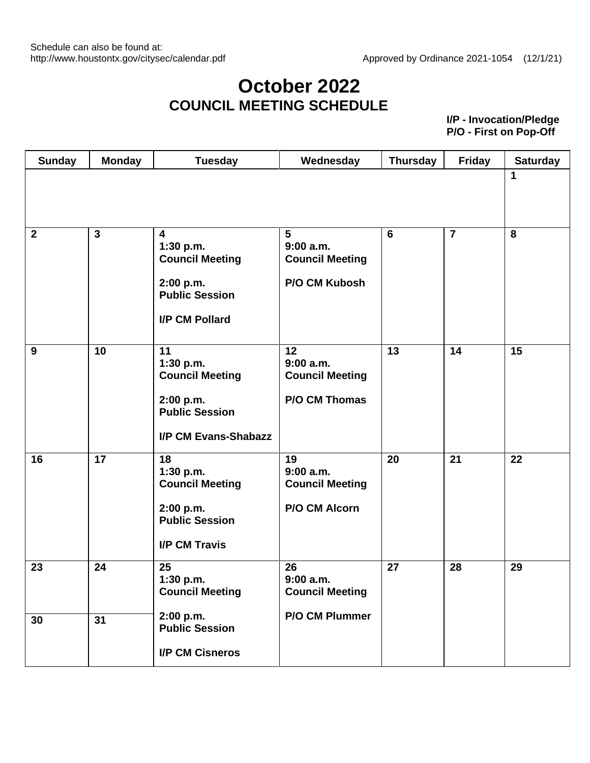## **October 2022 COUNCIL MEETING SCHEDULE**

| <b>Sunday</b>  | <b>Monday</b> | <b>Tuesday</b>                                                                                                         | Wednesday                                                    | <b>Thursday</b> | <b>Friday</b>  | <b>Saturday</b> |
|----------------|---------------|------------------------------------------------------------------------------------------------------------------------|--------------------------------------------------------------|-----------------|----------------|-----------------|
|                |               |                                                                                                                        |                                                              |                 |                | 1               |
| $\overline{2}$ | $\mathbf{3}$  | $\overline{\mathbf{4}}$<br>1:30 p.m.<br><b>Council Meeting</b><br>2:00 p.m.<br><b>Public Session</b><br>I/P CM Pollard | 5<br>9:00a.m.<br><b>Council Meeting</b><br>P/O CM Kubosh     | $6\phantom{1}$  | $\overline{7}$ | 8               |
| 9              | 10            | 11<br>1:30 p.m.<br><b>Council Meeting</b><br>2:00 p.m.<br><b>Public Session</b><br>I/P CM Evans-Shabazz                | 12<br>$9:00$ a.m.<br><b>Council Meeting</b><br>P/O CM Thomas | 13              | 14             | 15              |
| 16             | 17            | 18<br>1:30 p.m.<br><b>Council Meeting</b><br>2:00 p.m.<br><b>Public Session</b><br><b>I/P CM Travis</b>                | 19<br>$9:00$ a.m.<br><b>Council Meeting</b><br>P/O CM Alcorn | 20              | 21             | 22              |
| 23             | 24            | 25<br>1:30 p.m.<br><b>Council Meeting</b>                                                                              | 26<br>$9:00$ a.m.<br><b>Council Meeting</b>                  | 27              | 28             | 29              |
| 30             | 31            | 2:00 p.m.<br><b>Public Session</b><br><b>I/P CM Cisneros</b>                                                           | P/O CM Plummer                                               |                 |                |                 |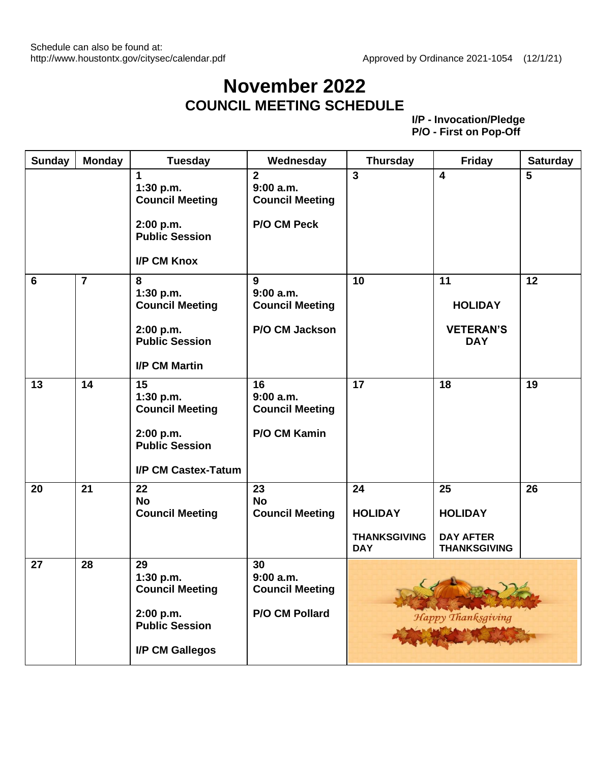## **November 2022 COUNCIL MEETING SCHEDULE**

| <b>Sunday</b> | <b>Monday</b>  | <b>Tuesday</b>                                                                                         | Wednesday                                                           | <b>Thursday</b>                                           | <b>Friday</b>                                                   | <b>Saturday</b> |
|---------------|----------------|--------------------------------------------------------------------------------------------------------|---------------------------------------------------------------------|-----------------------------------------------------------|-----------------------------------------------------------------|-----------------|
|               |                | 1<br>1:30 p.m.<br><b>Council Meeting</b><br>2:00 p.m.<br><b>Public Session</b><br>I/P CM Knox          | $\overline{2}$<br>9:00a.m.<br><b>Council Meeting</b><br>P/O CM Peck | $\overline{\mathbf{3}}$                                   | $\overline{\mathbf{4}}$                                         | 5               |
| 6             | $\overline{7}$ | 8<br>1:30 p.m.<br><b>Council Meeting</b><br>2:00 p.m.<br><b>Public Session</b><br><b>I/P CM Martin</b> | 9<br>9:00 a.m.<br><b>Council Meeting</b><br>P/O CM Jackson          | 10                                                        | 11<br><b>HOLIDAY</b><br><b>VETERAN'S</b><br><b>DAY</b>          | 12              |
| 13            | 14             | 15<br>1:30 p.m.<br><b>Council Meeting</b><br>2:00 p.m.<br><b>Public Session</b><br>I/P CM Castex-Tatum | 16<br>9:00 a.m.<br><b>Council Meeting</b><br>P/O CM Kamin           | 17                                                        | 18                                                              | 19              |
| 20            | 21             | 22<br><b>No</b><br><b>Council Meeting</b>                                                              | 23<br><b>No</b><br><b>Council Meeting</b>                           | 24<br><b>HOLIDAY</b><br><b>THANKSGIVING</b><br><b>DAY</b> | 25<br><b>HOLIDAY</b><br><b>DAY AFTER</b><br><b>THANKSGIVING</b> | 26              |
| 27            | 28             | 29<br>1:30 p.m.<br><b>Council Meeting</b><br>2:00 p.m.<br><b>Public Session</b><br>I/P CM Gallegos     | 30<br>$9:00$ a.m.<br><b>Council Meeting</b><br>P/O CM Pollard       |                                                           | $\mathcal{L}$<br>Happy Thanksgiving                             |                 |